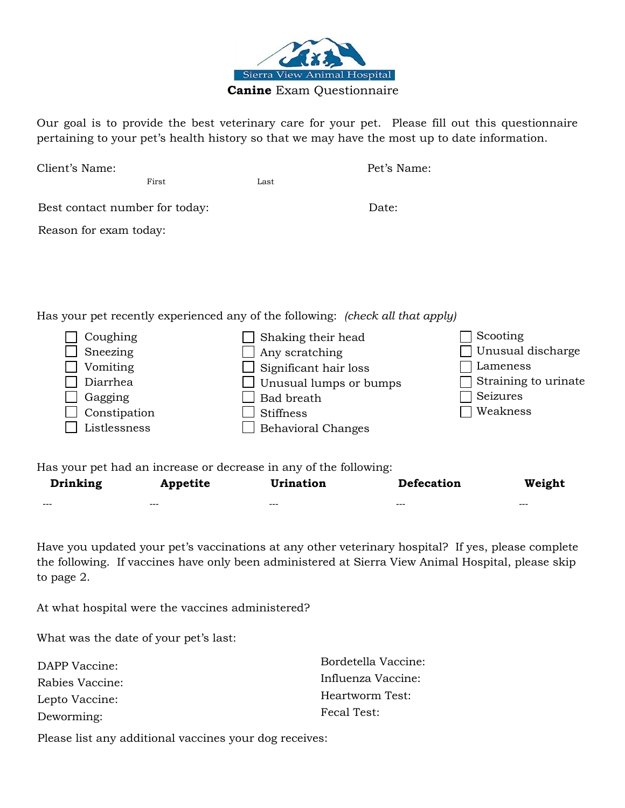

Our goal is to provide the best veterinary care for your pet. Please fill out this questionnaire pertaining to your pet's health history so that we may have the most up to date information.

| Client's Name:                                                                          |                                                                   | Pet's Name:                                                                                                                                                                                     |
|-----------------------------------------------------------------------------------------|-------------------------------------------------------------------|-------------------------------------------------------------------------------------------------------------------------------------------------------------------------------------------------|
| First                                                                                   | Last                                                              |                                                                                                                                                                                                 |
| Best contact number for today:                                                          |                                                                   | Date:                                                                                                                                                                                           |
| Reason for exam today:                                                                  |                                                                   |                                                                                                                                                                                                 |
|                                                                                         |                                                                   |                                                                                                                                                                                                 |
|                                                                                         |                                                                   |                                                                                                                                                                                                 |
|                                                                                         |                                                                   | Has your pet recently experienced any of the following: (check all that apply)                                                                                                                  |
| Coughing<br>Sneezing<br>Vomiting<br>Diarrhea<br>Gagging<br>Constipation<br>Listlessness | Any scratching<br>Bad breath<br><b>Stiffness</b>                  | Scooting<br>Shaking their head<br>Unusual discharge<br>Lameness<br>Significant hair loss<br>Straining to urinate<br>Unusual lumps or bumps<br>Seizures<br>Weakness<br><b>Behavioral Changes</b> |
|                                                                                         | Has your pet had an increase or decrease in any of the following: |                                                                                                                                                                                                 |

| Drinking | Appetite | <b>Urination</b> | Defecation | Weight  |
|----------|----------|------------------|------------|---------|
| $- - -$  | $- - -$  | $- - -$          | ---        | $- - -$ |

Have you updated your pet's vaccinations at any other veterinary hospital? If yes, please complete the following. If vaccines have only been administered at Sierra View Animal Hospital, please skip to page 2.

At what hospital were the vaccines administered?

What was the date of your pet's last:

| DAPP Vaccine:   | Bordetella Vaccine: |
|-----------------|---------------------|
| Rabies Vaccine: | Influenza Vaccine:  |
| Lepto Vaccine:  | Heartworm Test:     |
| Deworming:      | Fecal Test:         |

Please list any additional vaccines your dog receives: